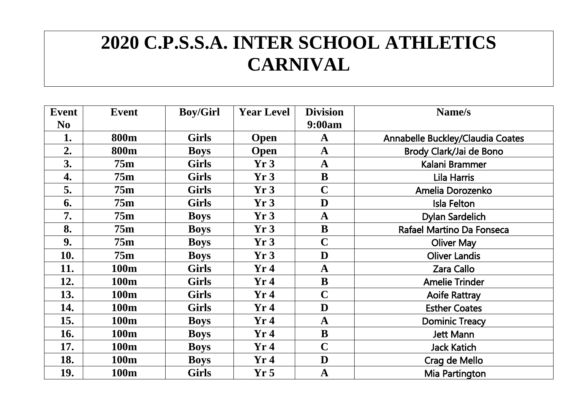## **2020 C.P.S.S.A. INTER SCHOOL ATHLETICS CARNIVAL**

| Event          | <b>Event</b>     | <b>Boy/Girl</b> | <b>Year Level</b> | <b>Division</b> | Name/s                           |
|----------------|------------------|-----------------|-------------------|-----------------|----------------------------------|
| N <sub>0</sub> |                  |                 |                   | 9:00am          |                                  |
| 1.             | <b>800m</b>      | <b>Girls</b>    | <b>Open</b>       | $\mathbf A$     | Annabelle Buckley/Claudia Coates |
| 2.             | 800m             | <b>Boys</b>     | <b>Open</b>       | $\mathbf A$     | Brody Clark/Jai de Bono          |
| 3.             | 75m              | <b>Girls</b>    | Yr3               | $\mathbf A$     | Kalani Brammer                   |
| 4.             | 75m              | <b>Girls</b>    | Yr3               | B               | Lila Harris                      |
| 5.             | 75m              | <b>Girls</b>    | Yr3               | $\mathbf C$     | Amelia Dorozenko                 |
| 6.             | 75m              | <b>Girls</b>    | Yr3               | D               | Isla Felton                      |
| 7.             | 75m              | <b>Boys</b>     | Yr3               | $\mathbf{A}$    | <b>Dylan Sardelich</b>           |
| 8.             | 75m              | <b>Boys</b>     | Yr3               | B               | Rafael Martino Da Fonseca        |
| 9.             | 75m              | <b>Boys</b>     | Yr3               | $\mathbf C$     | <b>Oliver May</b>                |
| 10.            | 75m              | <b>Boys</b>     | Yr3               | D               | <b>Oliver Landis</b>             |
| 11.            | 100m             | <b>Girls</b>    | Yr4               | $\mathbf A$     | <b>Zara Callo</b>                |
| 12.            | 100m             | <b>Girls</b>    | Yr4               | B               | <b>Amelie Trinder</b>            |
| 13.            | 100 <sub>m</sub> | <b>Girls</b>    | Yr4               | $\mathbf C$     | <b>Aoife Rattray</b>             |
| 14.            | 100m             | <b>Girls</b>    | Yr4               | D               | <b>Esther Coates</b>             |
| 15.            | <b>100m</b>      | <b>Boys</b>     | Yr4               | $\mathbf A$     | <b>Dominic Treacy</b>            |
| 16.            | 100m             | <b>Boys</b>     | Yr4               | B               | <b>Jett Mann</b>                 |
| 17.            | <b>100m</b>      | <b>Boys</b>     | Yr4               | $\mathbf C$     | <b>Jack Katich</b>               |
| 18.            | 100m             | <b>Boys</b>     | Yr4               | D               | Crag de Mello                    |
| 19.            | 100m             | <b>Girls</b>    | Yr <sub>5</sub>   | $\mathbf A$     | Mia Partington                   |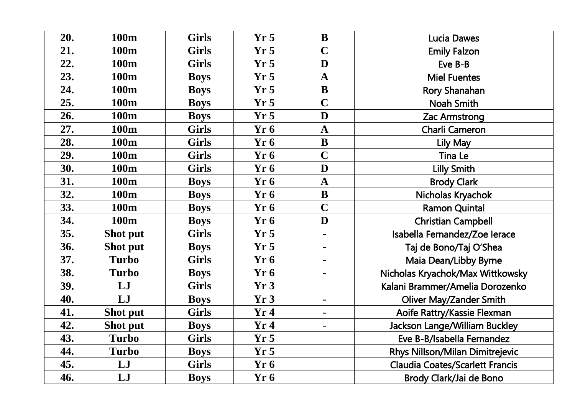| 20. | 100m         | <b>Girls</b> | Yr <sub>5</sub> | $\bf{B}$       | <b>Lucia Dawes</b>                     |
|-----|--------------|--------------|-----------------|----------------|----------------------------------------|
| 21. | 100m         | <b>Girls</b> | Yr <sub>5</sub> | $\overline{C}$ | <b>Emily Falzon</b>                    |
| 22. | 100m         | <b>Girls</b> | Yr5             | D              | Eve B-B                                |
| 23. | 100m         | <b>Boys</b>  | Yr <sub>5</sub> | $\mathbf A$    | <b>Miel Fuentes</b>                    |
| 24. | 100m         | <b>Boys</b>  | Yr <sub>5</sub> | $\mathbf{B}$   | Rory Shanahan                          |
| 25. | 100m         | <b>Boys</b>  | Yr5             | $\overline{C}$ | <b>Noah Smith</b>                      |
| 26. | 100m         | <b>Boys</b>  | Yr <sub>5</sub> | D              | <b>Zac Armstrong</b>                   |
| 27. | 100m         | <b>Girls</b> | Yr6             | $\mathbf A$    | <b>Charli Cameron</b>                  |
| 28. | 100m         | <b>Girls</b> | Yr6             | $\mathbf{B}$   | Lily May                               |
| 29. | 100m         | <b>Girls</b> | Yr6             | $\mathbf C$    | <b>Tina Le</b>                         |
| 30. | 100m         | <b>Girls</b> | Yr 6            | D              | <b>Lilly Smith</b>                     |
| 31. | 100m         | <b>Boys</b>  | Yr6             | $\mathbf A$    | <b>Brody Clark</b>                     |
| 32. | 100m         | <b>Boys</b>  | Yr6             | $\bf{B}$       | Nicholas Kryachok                      |
| 33. | 100m         | <b>Boys</b>  | Yr6             | $\overline{C}$ | <b>Ramon Quintal</b>                   |
| 34. | 100m         | <b>Boys</b>  | Yr6             | D              | <b>Christian Campbell</b>              |
| 35. | Shot put     | <b>Girls</b> | Yr <sub>5</sub> | $\blacksquare$ | Isabella Fernandez/Zoe Ierace          |
| 36. | Shot put     | <b>Boys</b>  | Yr <sub>5</sub> | $\frac{1}{2}$  | Taj de Bono/Taj O'Shea                 |
| 37. | <b>Turbo</b> | <b>Girls</b> | Yr6             | $\frac{1}{2}$  | Maia Dean/Libby Byrne                  |
| 38. | <b>Turbo</b> | <b>Boys</b>  | Yr6             | $\blacksquare$ | Nicholas Kryachok/Max Wittkowsky       |
| 39. | LJ           | <b>Girls</b> | Yr3             |                | Kalani Brammer/Amelia Dorozenko        |
| 40. | LJ           | <b>Boys</b>  | Yr3             | $\blacksquare$ | <b>Oliver May/Zander Smith</b>         |
| 41. | Shot put     | <b>Girls</b> | Yr4             | $\blacksquare$ | Aoife Rattry/Kassie Flexman            |
| 42. | Shot put     | <b>Boys</b>  | Yr4             | $\blacksquare$ | Jackson Lange/William Buckley          |
| 43. | <b>Turbo</b> | <b>Girls</b> | Yr <sub>5</sub> |                | Eve B-B/Isabella Fernandez             |
| 44. | <b>Turbo</b> | <b>Boys</b>  | Yr <sub>5</sub> |                | Rhys Nillson/Milan Dimitrejevic        |
| 45. | LJ           | <b>Girls</b> | Yr6             |                | <b>Claudia Coates/Scarlett Francis</b> |
| 46. | LJ           | <b>Boys</b>  | Yr <sub>6</sub> |                | Brody Clark/Jai de Bono                |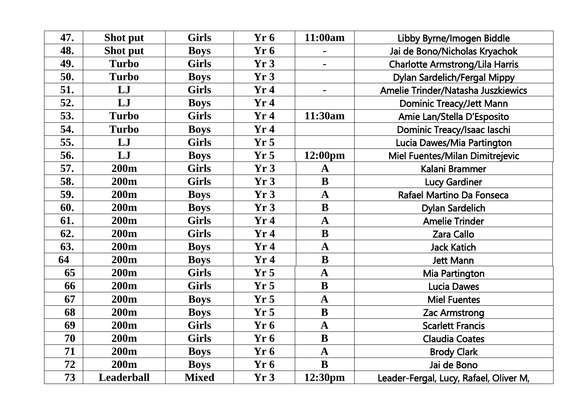| 47. | Shot put          | <b>Girls</b> | Yr <sub>6</sub> | 11:00am             | Libby Byrne/Imogen Biddle              |
|-----|-------------------|--------------|-----------------|---------------------|----------------------------------------|
| 48. | Shot put          | <b>Boys</b>  | Yr6             |                     | Jai de Bono/Nicholas Kryachok          |
| 49. | <b>Turbo</b>      | <b>Girls</b> | Yr3             | $\blacksquare$      | <b>Charlotte Armstrong/Lila Harris</b> |
| 50. | <b>Turbo</b>      | <b>Boys</b>  | Yr3             |                     | Dylan Sardelich/Fergal Mippy           |
| 51. | LJ                | <b>Girls</b> | Yr4             | $\blacksquare$      | Amelie Trinder/Natasha Juszkiewics     |
| 52. | LJ                | <b>Boys</b>  | Yr4             |                     | <b>Dominic Treacy/Jett Mann</b>        |
| 53. | <b>Turbo</b>      | <b>Girls</b> | Yr4             | 11:30am             | Amie Lan/Stella D'Esposito             |
| 54. | <b>Turbo</b>      | <b>Boys</b>  | Yr4             |                     | Dominic Treacy/Isaac laschi            |
| 55. | LJ                | <b>Girls</b> | Yr <sub>5</sub> |                     | Lucia Dawes/Mia Partington             |
| 56. | LJ                | <b>Boys</b>  | Yr <sub>5</sub> | $12:00 \text{pm}$   | Miel Fuentes/Milan Dimitrejevic        |
| 57. | <b>200m</b>       | <b>Girls</b> | Yr3             | A                   | Kalani Brammer                         |
| 58. | 200m              | <b>Girls</b> | Yr3             | $\mathbf B$         | <b>Lucy Gardiner</b>                   |
| 59. | 200 <sub>m</sub>  | <b>Boys</b>  | Yr3             | $\mathbf{A}$        | Rafael Martino Da Fonseca              |
| 60. | <b>200m</b>       | <b>Boys</b>  | Yr3             | $\bf{B}$            | <b>Dylan Sardelich</b>                 |
| 61. | <b>200m</b>       | <b>Girls</b> | Yr4             | $\mathbf{A}$        | <b>Amelie Trinder</b>                  |
| 62. | 200m              | <b>Girls</b> | Yr4             | $\mathbf B$         | <b>Zara Callo</b>                      |
| 63. | <b>200m</b>       | <b>Boys</b>  | Yr4             | $\mathbf A$         | <b>Jack Katich</b>                     |
| 64  | <b>200m</b>       | <b>Boys</b>  | Yr4             | $\mathbf{B}$        | <b>Jett Mann</b>                       |
| 65  | 200 <sub>m</sub>  | <b>Girls</b> | Yr5             | $\mathbf{A}$        | Mia Partington                         |
| 66  | 200m              | <b>Girls</b> | Yr <sub>5</sub> | $\mathbf{B}$        | <b>Lucia Dawes</b>                     |
| 67  | 200 <sub>m</sub>  | <b>Boys</b>  | Yr <sub>5</sub> | $\mathbf{A}$        | <b>Miel Fuentes</b>                    |
| 68  | <b>200m</b>       | <b>Boys</b>  | Yr5             | $\bf{B}$            | <b>Zac Armstrong</b>                   |
| 69  | <b>200m</b>       | <b>Girls</b> | Yr6             | $\mathbf{A}$        | <b>Scarlett Francis</b>                |
| 70  | <b>200m</b>       | <b>Girls</b> | Yr6             | $\bf{B}$            | <b>Claudia Coates</b>                  |
| 71  | <b>200m</b>       | <b>Boys</b>  | Yr6             | $\mathbf{A}$        | <b>Brody Clark</b>                     |
| 72  | <b>200m</b>       | <b>Boys</b>  | Yr6             | $\mathbf{B}$        | Jai de Bono                            |
| 73  | <b>Leaderball</b> | <b>Mixed</b> | Yr3             | 12:30 <sub>pm</sub> | Leader-Fergal, Lucy, Rafael, Oliver M, |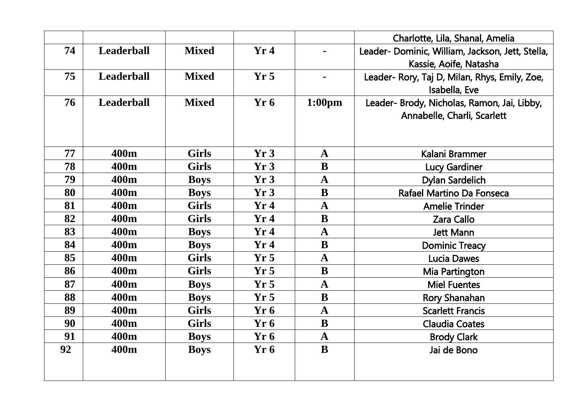|    |                   |              |                 |                    | Charlotte, Lila, Shanal, Amelia                  |
|----|-------------------|--------------|-----------------|--------------------|--------------------------------------------------|
| 74 | <b>Leaderball</b> | <b>Mixed</b> | Yr4             | $\blacksquare$     | Leader- Dominic, William, Jackson, Jett, Stella, |
|    |                   |              |                 |                    | Kassie, Aoife, Natasha                           |
| 75 | <b>Leaderball</b> | <b>Mixed</b> | Yr <sub>5</sub> | $\blacksquare$     | Leader- Rory, Taj D, Milan, Rhys, Emily, Zoe,    |
|    |                   |              |                 |                    | Isabella, Eve                                    |
| 76 | <b>Leaderball</b> | <b>Mixed</b> | Yr <sub>6</sub> | 1:00 <sub>pm</sub> | Leader- Brody, Nicholas, Ramon, Jai, Libby,      |
|    |                   |              |                 |                    | Annabelle, Charli, Scarlett                      |
|    |                   |              |                 |                    |                                                  |
| 77 | 400m              | <b>Girls</b> | Yr3             | $\mathbf{A}$       | Kalani Brammer                                   |
| 78 | 400 <sub>m</sub>  | <b>Girls</b> | Yr3             | B                  | <b>Lucy Gardiner</b>                             |
| 79 | 400 <sub>m</sub>  | <b>Boys</b>  | Yr3             | $\mathbf{A}$       | <b>Dylan Sardelich</b>                           |
| 80 | 400 <sub>m</sub>  | <b>Boys</b>  | Yr3             | B                  | Rafael Martino Da Fonseca                        |
| 81 | 400 <sub>m</sub>  | <b>Girls</b> | Yr4             | $\mathbf{A}$       | <b>Amelie Trinder</b>                            |
| 82 | 400 <sub>m</sub>  | <b>Girls</b> | Yr4             | $\bf{B}$           | <b>Zara Callo</b>                                |
| 83 | 400m              | <b>Boys</b>  | Yr4             | $\mathbf A$        | <b>Jett Mann</b>                                 |
| 84 | 400 <sub>m</sub>  | <b>Boys</b>  | Yr4             | B                  | <b>Dominic Treacy</b>                            |
| 85 | 400 <sub>m</sub>  | <b>Girls</b> | Yr <sub>5</sub> | $\mathbf A$        | <b>Lucia Dawes</b>                               |
| 86 | 400 <sub>m</sub>  | <b>Girls</b> | Yr <sub>5</sub> | $\bf{B}$           | Mia Partington                                   |
| 87 | 400 <sub>m</sub>  | <b>Boys</b>  | Yr5             | $\mathbf A$        | <b>Miel Fuentes</b>                              |
| 88 | 400m              | <b>Boys</b>  | Yr <sub>5</sub> | $\bf{B}$           | Rory Shanahan                                    |
| 89 | 400 <sub>m</sub>  | <b>Girls</b> | Yr6             | $\mathbf A$        | <b>Scarlett Francis</b>                          |
| 90 | 400 <sub>m</sub>  | <b>Girls</b> | Yr6             | B                  | <b>Claudia Coates</b>                            |
| 91 | 400 <sub>m</sub>  | <b>Boys</b>  | Yr6             | $\mathbf A$        | <b>Brody Clark</b>                               |
| 92 | 400 <sub>m</sub>  | <b>Boys</b>  | Yr6             | B                  | Jai de Bono                                      |
|    |                   |              |                 |                    |                                                  |
|    |                   |              |                 |                    |                                                  |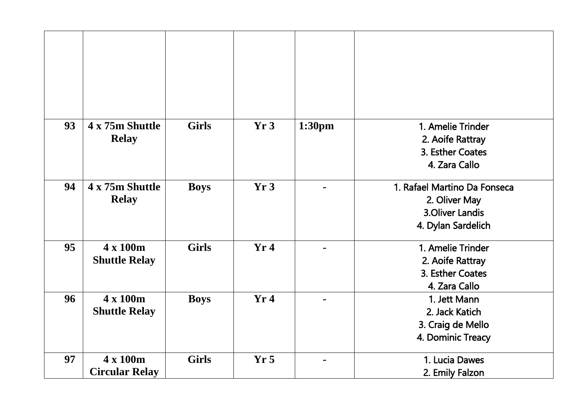| 93 | 4 x 75m Shuttle<br><b>Relay</b>   | <b>Girls</b> | Yr3             | 1:30pm         | 1. Amelie Trinder<br>2. Aoife Rattray<br>3. Esther Coates<br>4. Zara Callo                    |
|----|-----------------------------------|--------------|-----------------|----------------|-----------------------------------------------------------------------------------------------|
| 94 | 4 x 75m Shuttle<br><b>Relay</b>   | <b>Boys</b>  | Yr3             |                | 1. Rafael Martino Da Fonseca<br>2. Oliver May<br><b>3.Oliver Landis</b><br>4. Dylan Sardelich |
| 95 | 4 x 100m<br><b>Shuttle Relay</b>  | <b>Girls</b> | Yr4             | $\blacksquare$ | 1. Amelie Trinder<br>2. Aoife Rattray<br>3. Esther Coates<br>4. Zara Callo                    |
| 96 | 4 x 100m<br><b>Shuttle Relay</b>  | <b>Boys</b>  | Yr4             |                | 1. Jett Mann<br>2. Jack Katich<br>3. Craig de Mello<br>4. Dominic Treacy                      |
| 97 | 4 x 100m<br><b>Circular Relay</b> | <b>Girls</b> | Yr <sub>5</sub> | $\blacksquare$ | 1. Lucia Dawes<br>2. Emily Falzon                                                             |